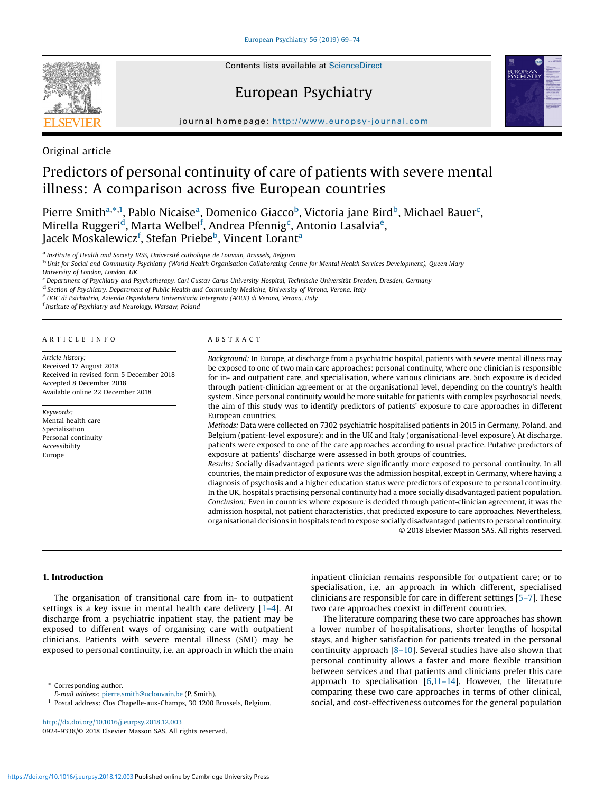**SEVIER** 

# European Psychiatry



journal homepage: <http://www.europsy-journal.com>

Original article

# Predictors of personal continuity of care of patients with severe mental illness: A comparison across five European countries

Pierre Smith<sup>a,\*,1</sup>, Pablo Nicaise<sup>a</sup>, Domenico Giacco<sup>b</sup>, Victoria jane Bird<sup>b</sup>, Michael Bauer<sup>c</sup>, Mirella Ruggeri<sup>d</sup>, Marta Welbel<sup>f</sup>, Andrea Pfennig<sup>c</sup>, Antonio Lasalvia<sup>e</sup>, Jacek Moskalewicz<sup>f</sup>, Stefan Priebe<sup>b</sup>, Vincent Lorant<sup>a</sup>

a Institute of Health and Society IRSS, Université catholique de Louvain, Brussels, Belgium<br>b Unit for Social and Community Psychiatry (World Health Organisation Collaborating Centre for Mental Health Services Development) University of London, London, UK<br>Copartment of Psychiatry and Psychotherapy, Carl Gustav Carus University Hospital, Technische Universität Dresden, Dresden, Germany

<sup>d</sup> Section of Psychiatry, Department of Public Health and Community Medicine, University of Verona, Verona, Italy<br><sup>e</sup> UOC di Psichiatria, Azienda Ospedaliera Universitaria Intergrata (AOUI) di Verona, Verona, Italy

<sup>f</sup> Institute of Psychiatry and Neurology, Warsaw, Poland

#### A R T I C L E I N F O

Article history: Received 17 August 2018 Received in revised form 5 December 2018 Accepted 8 December 2018

Available online 22 December 2018

Keywords: Mental health care Specialisation Personal continuity Accessibility Europe

#### A B S T R A C T

Background: In Europe, at discharge from a psychiatric hospital, patients with severe mental illness may be exposed to one of two main care approaches: personal continuity, where one clinician is responsible for in- and outpatient care, and specialisation, where various clinicians are. Such exposure is decided through patient-clinician agreement or at the organisational level, depending on the country's health system. Since personal continuity would be more suitable for patients with complex psychosocial needs, the aim of this study was to identify predictors of patients' exposure to care approaches in different European countries.

Methods: Data were collected on 7302 psychiatric hospitalised patients in 2015 in Germany, Poland, and Belgium (patient-level exposure); and in the UK and Italy (organisational-level exposure). At discharge, patients were exposed to one of the care approaches according to usual practice. Putative predictors of exposure at patients' discharge were assessed in both groups of countries.

Results: Socially disadvantaged patients were significantly more exposed to personal continuity. In all countries, the main predictor of exposure was the admission hospital, except in Germany, where having a diagnosis of psychosis and a higher education status were predictors of exposure to personal continuity. In the UK, hospitals practising personal continuity had a more socially disadvantaged patient population. Conclusion: Even in countries where exposure is decided through patient-clinician agreement, it was the admission hospital, not patient characteristics, that predicted exposure to care approaches. Nevertheless, organisational decisions in hospitals tend to expose socially disadvantaged patients to personal continuity. © 2018 Elsevier Masson SAS. All rights reserved.

# 1. Introduction

The organisation of transitional care from in- to outpatient settings is a key issue in mental health care delivery [1[–](#page-5-0)4]. At discharge from a psychiatric inpatient stay, the patient may be exposed to different ways of organising care with outpatient clinicians. Patients with severe mental illness (SMI) may be exposed to personal continuity, i.e. an approach in which the main

Corresponding author.

<http://dx.doi.org/10.1016/j.eurpsy.2018.12.003> 0924-9338/© 2018 Elsevier Masson SAS. All rights reserved. inpatient clinician remains responsible for outpatient care; or to specialisation, i.e. an approach in which different, specialised clinicians are responsible for care in different settings [5–[7\]](#page-5-0). These two care approaches coexist in different countries.

The literature comparing these two care approaches has shown a lower number of hospitalisations, shorter lengths of hospital stays, and higher satisfaction for patients treated in the personal continuity approach [8–[10](#page-5-0)]. Several studies have also shown that personal continuity allows a faster and more flexible transition between services and that patients and clinicians prefer this care approach to specialisation  $[6,11-14]$  $[6,11-14]$  $[6,11-14]$  $[6,11-14]$ . However, the literature comparing these two care approaches in terms of other clinical, social, and cost-effectiveness outcomes for the general population

E-mail address: [pierre.smith@uclouvain.be](mailto:pierre.smith@uclouvain.be) (P. Smith).

<sup>1</sup> Postal address: Clos Chapelle-aux-Champs, 30 1200 Brussels, Belgium.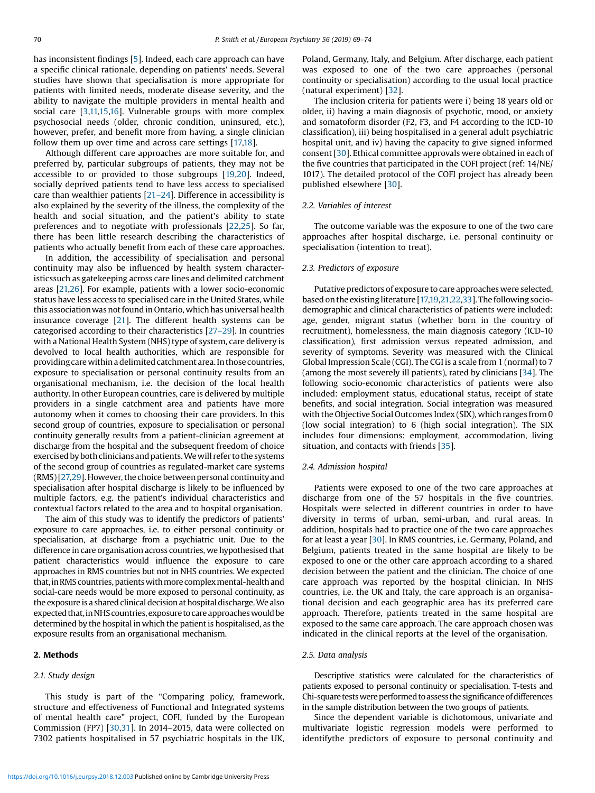has inconsistent findings [[5](#page-5-0)]. Indeed, each care approach can have a specific clinical rationale, depending on patients' needs. Several studies have shown that specialisation is more appropriate for patients with limited needs, moderate disease severity, and the ability to navigate the multiple providers in mental health and social care [\[3,11,15](#page-5-0),[16](#page-5-0)]. Vulnerable groups with more complex psychosocial needs (older, chronic condition, uninsured, etc.), however, prefer, and benefit more from having, a single clinician follow them up over time and across care settings [\[17,18\]](#page-5-0).

Although different care approaches are more suitable for, and preferred by, particular subgroups of patients, they may not be accessible to or provided to those subgroups [[19,20\]](#page-5-0). Indeed, socially deprived patients tend to have less access to specialised care than wealthier patients  $[21-24]$  $[21-24]$ . Difference in accessibility is also explained by the severity of the illness, the complexity of the health and social situation, and the patient's ability to state preferences and to negotiate with professionals [\[22,25](#page-5-0)]. So far, there has been little research describing the characteristics of patients who actually benefit from each of these care approaches.

In addition, the accessibility of specialisation and personal continuity may also be influenced by health system characteristicssuch as gatekeeping across care lines and delimited catchment areas [\[21](#page-5-0),[26](#page-5-0)]. For example, patients with a lower socio-economic status have less access to specialised care in the United States, while this association was not found in Ontario, which has universal health insurance coverage [[21](#page-5-0)]. The different health systems can be categorised according to their characteristics [27–[29](#page-5-0)]. In countries with a National Health System (NHS) type of system, care delivery is devolved to local health authorities, which are responsible for providing care within a delimited catchment area. In those countries, exposure to specialisation or personal continuity results from an organisational mechanism, i.e. the decision of the local health authority. In other European countries, care is delivered by multiple providers in a single catchment area and patients have more autonomy when it comes to choosing their care providers. In this second group of countries, exposure to specialisation or personal continuity generally results from a patient-clinician agreement at discharge from the hospital and the subsequent freedom of choice exercised by both clinicians and patients. We will refer to the systems of the second group of countries as regulated-market care systems  $(RMS)[27,29]$  $(RMS)[27,29]$  $(RMS)[27,29]$ . However, the choice between personal continuity and specialisation after hospital discharge is likely to be influenced by multiple factors, e.g. the patient's individual characteristics and contextual factors related to the area and to hospital organisation.

The aim of this study was to identify the predictors of patients' exposure to care approaches, i.e. to either personal continuity or specialisation, at discharge from a psychiatric unit. Due to the difference in care organisation across countries, we hypothesised that patient characteristics would influence the exposure to care approaches in RMS countries but not in NHS countries. We expected that, in RMS countries, patients with more complex mental-health and social-care needs would be more exposed to personal continuity, as the exposure is a shared clinical decision at hospital discharge. We also expected that, in NHS countries, exposure to care approaches would be determined by the hospital in which the patient is hospitalised, as the exposure results from an organisational mechanism.

# 2. Methods

# 2.1. Study design

This study is part of the "Comparing policy, framework, structure and effectiveness of Functional and Integrated systems of mental health care" project, COFI, funded by the European Commission (FP7) [[30,31](#page-5-0)]. In 2014–2015, data were collected on 7302 patients hospitalised in 57 psychiatric hospitals in the UK, Poland, Germany, Italy, and Belgium. After discharge, each patient was exposed to one of the two care approaches (personal continuity or specialisation) according to the usual local practice (natural experiment) [[32\]](#page-5-0).

The inclusion criteria for patients were i) being 18 years old or older, ii) having a main diagnosis of psychotic, mood, or anxiety and somatoform disorder (F2, F3, and F4 according to the ICD-10 classification), iii) being hospitalised in a general adult psychiatric hospital unit, and iv) having the capacity to give signed informed consent[\[30\]](#page-5-0). Ethical committee approvals were obtained in each of the five countries that participated in the COFI project (ref: 14/NE/ 1017). The detailed protocol of the COFI project has already been published elsewhere [[30](#page-5-0)].

#### 2.2. Variables of interest

The outcome variable was the exposure to one of the two care approaches after hospital discharge, i.e. personal continuity or specialisation (intention to treat).

# 2.3. Predictors of exposure

Putative predictors of exposure to care approaches were selected, based onthe existing literature [\[17,19,21,22,33\]](#page-5-0). The following sociodemographic and clinical characteristics of patients were included: age, gender, migrant status (whether born in the country of recruitment), homelessness, the main diagnosis category (ICD-10 classification), first admission versus repeated admission, and severity of symptoms. Severity was measured with the Clinical Global Impression Scale (CGI). The CGI is a scale from 1 (normal) to 7 (among the most severely ill patients), rated by clinicians [\[34\]](#page-5-0). The following socio-economic characteristics of patients were also included: employment status, educational status, receipt of state benefits, and social integration. Social integration was measured with the Objective Social Outcomes Index (SIX), which ranges from 0 (low social integration) to 6 (high social integration). The SIX includes four dimensions: employment, accommodation, living situation, and contacts with friends [[35](#page-5-0)].

#### 2.4. Admission hospital

Patients were exposed to one of the two care approaches at discharge from one of the 57 hospitals in the five countries. Hospitals were selected in different countries in order to have diversity in terms of urban, semi-urban, and rural areas. In addition, hospitals had to practice one of the two care approaches for at least a year [[30](#page-5-0)]. In RMS countries, i.e. Germany, Poland, and Belgium, patients treated in the same hospital are likely to be exposed to one or the other care approach according to a shared decision between the patient and the clinician. The choice of one care approach was reported by the hospital clinician. In NHS countries, i.e. the UK and Italy, the care approach is an organisational decision and each geographic area has its preferred care approach. Therefore, patients treated in the same hospital are exposed to the same care approach. The care approach chosen was indicated in the clinical reports at the level of the organisation.

# 2.5. Data analysis

Descriptive statistics were calculated for the characteristics of patients exposed to personal continuity or specialisation. T-tests and Chi-square tests were performed to assess the significance of differences in the sample distribution between the two groups of patients.

Since the dependent variable is dichotomous, univariate and multivariate logistic regression models were performed to identifythe predictors of exposure to personal continuity and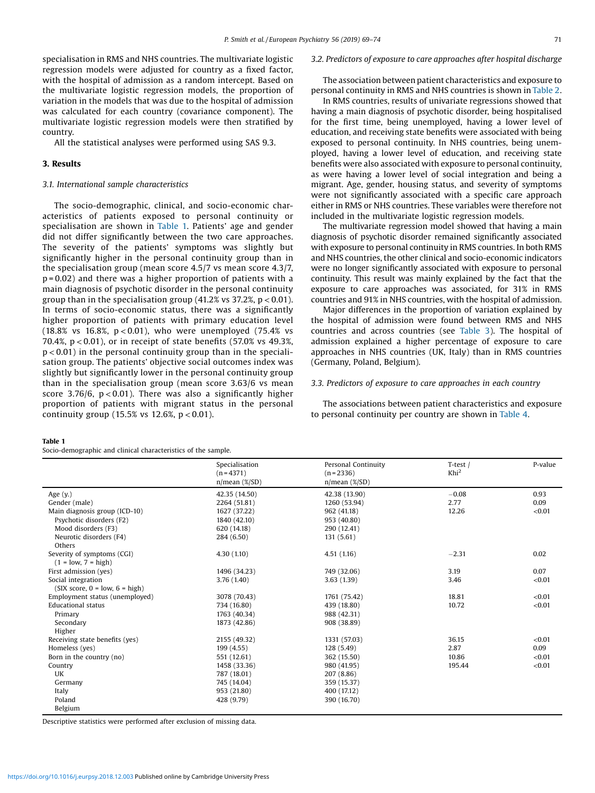specialisation in RMS and NHS countries. The multivariate logistic regression models were adjusted for country as a fixed factor, with the hospital of admission as a random intercept. Based on the multivariate logistic regression models, the proportion of variation in the models that was due to the hospital of admission was calculated for each country (covariance component). The multivariate logistic regression models were then stratified by country.

All the statistical analyses were performed using SAS 9.3.

# 3. Results

# 3.1. International sample characteristics

The socio-demographic, clinical, and socio-economic characteristics of patients exposed to personal continuity or specialisation are shown in Table 1. Patients' age and gender did not differ significantly between the two care approaches. The severity of the patients' symptoms was slightly but significantly higher in the personal continuity group than in the specialisation group (mean score 4.5/7 vs mean score 4.3/7, p = 0.02) and there was a higher proportion of patients with a main diagnosis of psychotic disorder in the personal continuity group than in the specialisation group  $(41.2\% \text{ vs } 37.2\%, \text{ p} < 0.01)$ . In terms of socio-economic status, there was a significantly higher proportion of patients with primary education level (18.8% vs 16.8%,  $p < 0.01$ ), who were unemployed (75.4% vs 70.4%, p < 0.01), or in receipt of state benefits (57.0% vs 49.3%,  $p$  < 0.01) in the personal continuity group than in the specialisation group. The patients' objective social outcomes index was slightly but significantly lower in the personal continuity group than in the specialisation group (mean score 3.63/6 vs mean score 3.76/6,  $p < 0.01$ ). There was also a significantly higher proportion of patients with migrant status in the personal continuity group (15.5% vs 12.6%,  $p < 0.01$ ).

# 3.2. Predictors of exposure to care approaches after hospital discharge

The association between patient characteristics and exposure to personal continuity in RMS and NHS countries is shown in [Table](#page-3-0) 2.

In RMS countries, results of univariate regressions showed that having a main diagnosis of psychotic disorder, being hospitalised for the first time, being unemployed, having a lower level of education, and receiving state benefits were associated with being exposed to personal continuity. In NHS countries, being unemployed, having a lower level of education, and receiving state benefits were also associated with exposure to personal continuity, as were having a lower level of social integration and being a migrant. Age, gender, housing status, and severity of symptoms were not significantly associated with a specific care approach either in RMS or NHS countries. These variables were therefore not included in the multivariate logistic regression models.

The multivariate regression model showed that having a main diagnosis of psychotic disorder remained significantly associated with exposure to personal continuity in RMS countries. In both RMS and NHS countries, the other clinical and socio-economic indicators were no longer significantly associated with exposure to personal continuity. This result was mainly explained by the fact that the exposure to care approaches was associated, for 31% in RMS countries and 91% in NHS countries, with the hospital of admission.

Major differences in the proportion of variation explained by the hospital of admission were found between RMS and NHS countries and across countries (see [Table](#page-3-0) 3). The hospital of admission explained a higher percentage of exposure to care approaches in NHS countries (UK, Italy) than in RMS countries (Germany, Poland, Belgium).

# 3.3. Predictors of exposure to care approaches in each country

The associations between patient characteristics and exposure to personal continuity per country are shown in [Table](#page-3-0) 4.

#### Table 1

Socio-demographic and clinical characteristics of the sample.

|                                  | Specialisation<br>$(n=4371)$<br>$n/mean$ (%/SD) | Personal Continuity<br>$(n = 2336)$<br>$n/mean$ (%/SD) | $T-test /$<br>Khi <sup>2</sup> | P-value |
|----------------------------------|-------------------------------------------------|--------------------------------------------------------|--------------------------------|---------|
| Age $(y.)$                       | 42.35 (14.50)                                   | 42.38 (13.90)                                          | $-0.08$                        | 0.93    |
| Gender (male)                    | 2264 (51.81)                                    | 1260 (53.94)                                           | 2.77                           | 0.09    |
| Main diagnosis group (ICD-10)    | 1627 (37.22)                                    | 962 (41.18)                                            | 12.26                          | < 0.01  |
| Psychotic disorders (F2)         | 1840 (42.10)                                    | 953 (40.80)                                            |                                |         |
| Mood disorders (F3)              | 620 (14.18)                                     | 290 (12.41)                                            |                                |         |
| Neurotic disorders (F4)          | 284 (6.50)                                      | 131 (5.61)                                             |                                |         |
| Others                           |                                                 |                                                        |                                |         |
| Severity of symptoms (CGI)       | 4.30(1.10)                                      | 4.51(1.16)                                             | $-2.31$                        | 0.02    |
| $(1 = low, 7 = high)$            |                                                 |                                                        |                                |         |
| First admission (yes)            | 1496 (34.23)                                    | 749 (32.06)                                            | 3.19                           | 0.07    |
| Social integration               | 3.76(1.40)                                      | 3.63(1.39)                                             | 3.46                           | < 0.01  |
| $(SIX score, 0 = low, 6 = high)$ |                                                 |                                                        |                                |         |
| Employment status (unemployed)   | 3078 (70.43)                                    | 1761 (75.42)                                           | 18.81                          | < 0.01  |
| <b>Educational status</b>        | 734 (16.80)                                     | 439 (18.80)                                            | 10.72                          | < 0.01  |
| Primary                          | 1763 (40.34)                                    | 988 (42.31)                                            |                                |         |
| Secondary                        | 1873 (42.86)                                    | 908 (38.89)                                            |                                |         |
| Higher                           |                                                 |                                                        |                                |         |
| Receiving state benefits (yes)   | 2155 (49.32)                                    | 1331 (57.03)                                           | 36.15                          | < 0.01  |
| Homeless (yes)                   | 199 (4.55)                                      | 128 (5.49)                                             | 2.87                           | 0.09    |
| Born in the country (no)         | 551 (12.61)                                     | 362 (15.50)                                            | 10.86                          | < 0.01  |
| Country                          | 1458 (33.36)                                    | 980 (41.95)                                            | 195.44                         | < 0.01  |
| UK                               | 787 (18.01)                                     | 207 (8.86)                                             |                                |         |
| Germany                          | 745 (14.04)                                     | 359 (15.37)                                            |                                |         |
| Italy                            | 953 (21.80)                                     | 400 (17.12)                                            |                                |         |
| Poland                           | 428 (9.79)                                      | 390 (16.70)                                            |                                |         |
| Belgium                          |                                                 |                                                        |                                |         |

Descriptive statistics were performed after exclusion of missing data.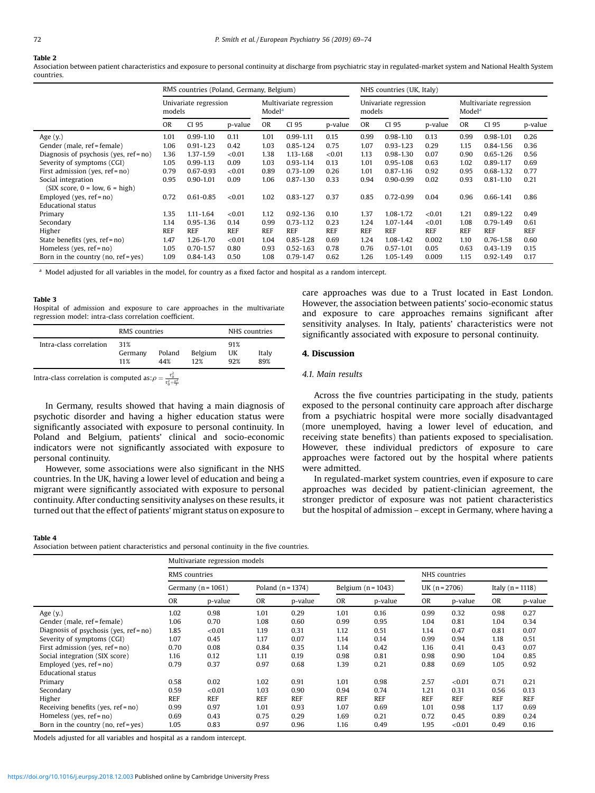# <span id="page-3-0"></span>Table 2

Association between patient characteristics and exposure to personal continuity at discharge from psychiatric stay in regulated-market system and National Health System countries.

|                                         | RMS countries (Poland, Germany, Belgium) |               |            |                                               |               | NHS countries (UK, Italy)       |            |               |                                               |            |               |         |
|-----------------------------------------|------------------------------------------|---------------|------------|-----------------------------------------------|---------------|---------------------------------|------------|---------------|-----------------------------------------------|------------|---------------|---------|
|                                         | Univariate regression<br>models          |               |            | Multivariate regression<br>Model <sup>a</sup> |               | Univariate regression<br>models |            |               | Multivariate regression<br>Model <sup>a</sup> |            |               |         |
|                                         | <b>OR</b>                                | CI 95         | p-value    | <b>OR</b>                                     | CI 95         | p-value                         | <b>OR</b>  | CI 95         | p-value                                       | <b>OR</b>  | CI 95         | p-value |
| Age $(y.)$                              | 1.01                                     | $0.99 - 1.10$ | 0.11       | 1.01                                          | $0.99 - 1.11$ | 0.15                            | 0.99       | $0.98 - 1.10$ | 0.13                                          | 0.99       | $0.98 - 1.01$ | 0.26    |
| Gender (male, ref = female)             | 1.06                                     | $0.91 - 1.23$ | 0.42       | 1.03                                          | 0.85-1.24     | 0.75                            | 1.07       | $0.93 - 1.23$ | 0.29                                          | 1.15       | 0.84-1.56     | 0.36    |
| Diagnosis of psychosis (yes, $ref=no$ ) | 1.36                                     | 1.37-1.59     | < 0.01     | 1.38                                          | 1.13-1.68     | < 0.01                          | 1.13       | $0.98 - 1.30$ | 0.07                                          | 0.90       | $0.65 - 1.26$ | 0.56    |
| Severity of symptoms (CGI)              | 1.05                                     | $0.99 - 1.13$ | 0.09       | 1.03                                          | $0.93 - 1.14$ | 0.13                            | 1.01       | $0.95 - 1.08$ | 0.63                                          | 1.02       | $0.89 - 1.17$ | 0.69    |
| First admission (yes, $ref = no$ )      | 0.79                                     | $0.67 - 0.93$ | < 0.01     | 0.89                                          | $0.73 - 1.09$ | 0.26                            | 1.01       | $0.87 - 1.16$ | 0.92                                          | 0.95       | 0.68-1.32     | 0.77    |
| Social integration                      | 0.95                                     | $0.90 - 1.01$ | 0.09       | 1.06                                          | $0.87 - 1.30$ | 0.33                            | 0.94       | $0.90 - 0.99$ | 0.02                                          | 0.93       | $0.81 - 1.10$ | 0.21    |
| $(SIX score, 0 = low, 6 = high)$        |                                          |               |            |                                               |               |                                 |            |               |                                               |            |               |         |
| Employed (yes, $ref = no$ )             | 0.72                                     | $0.61 - 0.85$ | < 0.01     | 1.02                                          | $0.83 - 1.27$ | 0.37                            | 0.85       | $0.72 - 0.99$ | 0.04                                          | 0.96       | $0.66 - 1.41$ | 0.86    |
| <b>Educational status</b>               |                                          |               |            |                                               |               |                                 |            |               |                                               |            |               |         |
| Primary                                 | 1.35                                     | $1.11 - 1.64$ | < 0.01     | 1.12                                          | $0.92 - 1.36$ | 0.10                            | 1.37       | 1.08-1.72     | < 0.01                                        | 1.21       | 0.89-1.22     | 0.49    |
| Secondary                               | 1.14                                     | $0.95 - 1.36$ | 0.14       | 0.99                                          | $0.73 - 1.12$ | 0.23                            | 1.24       | 1.07-1.44     | < 0.01                                        | 1.08       | 0.79-1.49     | 0.61    |
| Higher                                  | REF                                      | REF           | <b>REF</b> | REF                                           | <b>REF</b>    | <b>REF</b>                      | <b>REF</b> | REF           | <b>REF</b>                                    | <b>REF</b> | <b>REF</b>    | REF     |
| State benefits (yes, $ref = no$ )       | 1.47                                     | 1.26-1.70     | < 0.01     | 1.04                                          | $0.85 - 1.28$ | 0.69                            | 1.24       | 1.08-1.42     | 0.002                                         | 1.10       | $0.76 - 1.58$ | 0.60    |
| Homeless (yes, $ref=no$ )               | 1.05                                     | $0.70 - 1.57$ | 0.80       | 0.93                                          | $0.52 - 1.63$ | 0.78                            | 0.76       | $0.57 - 1.01$ | 0.05                                          | 0.63       | $0.43 - 1.19$ | 0.15    |
| Born in the country (no, $ref = yes$ )  | 1.09                                     | 0.84-1.43     | 0.50       | 1.08                                          | $0.79 - 1.47$ | 0.62                            | 1.26       | 1.05-1.49     | 0.009                                         | 1.15       | 0.92-1.49     | 0.17    |

<sup>a</sup> Model adjusted for all variables in the model, for country as a fixed factor and hospital as a random intercept.

#### Table 3

Hospital of admission and exposure to care approaches in the multivariate regression model: intra-class correlation coefficient.

|                         | RMS countries         |               | NHS countries  |                  |              |
|-------------------------|-----------------------|---------------|----------------|------------------|--------------|
| Intra-class correlation | 31%<br>Germany<br>11% | Poland<br>44% | Belgium<br>12% | 91%<br>UK<br>92% | Italy<br>89% |

Intra-class correlation is computed as:  $\rho = \frac{\tau_0^2}{\tau_0^2 + \frac{\pi_3^2}{3}}$ 

In Germany, results showed that having a main diagnosis of psychotic disorder and having a higher education status were significantly associated with exposure to personal continuity. In Poland and Belgium, patients' clinical and socio-economic indicators were not significantly associated with exposure to personal continuity.

However, some associations were also significant in the NHS countries. In the UK, having a lower level of education and being a migrant were significantly associated with exposure to personal continuity. After conducting sensitivity analyses on these results, it turned out that the effect of patients' migrant status on exposure to

#### Table 4

Association between patient characteristics and personal continuity in the five countries.

|                                        | Multivariate regression models |            |                     |            |                      |            |                 |               |                    |            |  |  |
|----------------------------------------|--------------------------------|------------|---------------------|------------|----------------------|------------|-----------------|---------------|--------------------|------------|--|--|
|                                        | RMS countries                  |            |                     |            |                      |            |                 | NHS countries |                    |            |  |  |
|                                        | Germany $(n = 1061)$           |            | Poland $(n = 1374)$ |            | Belgium $(n = 1043)$ |            | $UK (n = 2706)$ |               | Italy $(n = 1118)$ |            |  |  |
|                                        | <b>OR</b>                      | p-value    | <b>OR</b>           | p-value    | OR                   | p-value    | <b>OR</b>       | p-value       | <b>OR</b>          | p-value    |  |  |
| Age $(y.)$                             | 1.02                           | 0.98       | 1.01                | 0.29       | 1.01                 | 0.16       | 0.99            | 0.32          | 0.98               | 0.27       |  |  |
| Gender (male, ref = female)            | 1.06                           | 0.70       | 1.08                | 0.60       | 0.99                 | 0.95       | 1.04            | 0.81          | 1.04               | 0.34       |  |  |
| Diagnosis of psychosis (yes, ref=no)   | 1.85                           | < 0.01     | 1.19                | 0.31       | 1.12                 | 0.51       | 1.14            | 0.47          | 0.81               | 0.07       |  |  |
| Severity of symptoms (CGI)             | 1.07                           | 0.45       | 1.17                | 0.07       | 1.14                 | 0.14       | 0.99            | 0.94          | 1.18               | 0.51       |  |  |
| First admission (yes, $ref = no$ )     | 0.70                           | 0.08       | 0.84                | 0.35       | 1.14                 | 0.42       | 1.16            | 0.41          | 0.43               | 0.07       |  |  |
| Social integration (SIX score)         | 1.16                           | 0.12       | 1.11                | 0.19       | 0.98                 | 0.81       | 0.98            | 0.90          | 1.04               | 0.85       |  |  |
| Employed (yes, $ref = no$ )            | 0.79                           | 0.37       | 0.97                | 0.68       | 1.39                 | 0.21       | 0.88            | 0.69          | 1.05               | 0.92       |  |  |
| <b>Educational status</b>              |                                |            |                     |            |                      |            |                 |               |                    |            |  |  |
| Primary                                | 0.58                           | 0.02       | 1.02                | 0.91       | 1.01                 | 0.98       | 2.57            | < 0.01        | 0.71               | 0.21       |  |  |
| Secondary                              | 0.59                           | < 0.01     | 1.03                | 0.90       | 0.94                 | 0.74       | 1.21            | 0.31          | 0.56               | 0.13       |  |  |
| Higher                                 | <b>REF</b>                     | <b>REF</b> | <b>REF</b>          | <b>REF</b> | <b>REF</b>           | <b>REF</b> | <b>REF</b>      | <b>REF</b>    | <b>REF</b>         | <b>REF</b> |  |  |
| Receiving benefits (yes, $ref=no$ )    | 0.99                           | 0.97       | 1.01                | 0.93       | 1.07                 | 0.69       | 1.01            | 0.98          | 1.17               | 0.69       |  |  |
| Homeless (yes, $ref = no$ )            | 0.69                           | 0.43       | 0.75                | 0.29       | 1.69                 | 0.21       | 0.72            | 0.45          | 0.89               | 0.24       |  |  |
| Born in the country (no, $ref = yes$ ) | 1.05                           | 0.83       | 0.97                | 0.96       | 1.16                 | 0.49       | 1.95            | < 0.01        | 0.49               | 0.16       |  |  |

Models adjusted for all variables and hospital as a random intercept.

care approaches was due to a Trust located in East London. However, the association between patients' socio-economic status and exposure to care approaches remains significant after sensitivity analyses. In Italy, patients' characteristics were not significantly associated with exposure to personal continuity.

#### 4. Discussion

### 4.1. Main results

Across the five countries participating in the study, patients exposed to the personal continuity care approach after discharge from a psychiatric hospital were more socially disadvantaged (more unemployed, having a lower level of education, and receiving state benefits) than patients exposed to specialisation. However, these individual predictors of exposure to care approaches were factored out by the hospital where patients were admitted.

In regulated-market system countries, even if exposure to care approaches was decided by patient-clinician agreement, the stronger predictor of exposure was not patient characteristics but the hospital of admission – except in Germany, where having a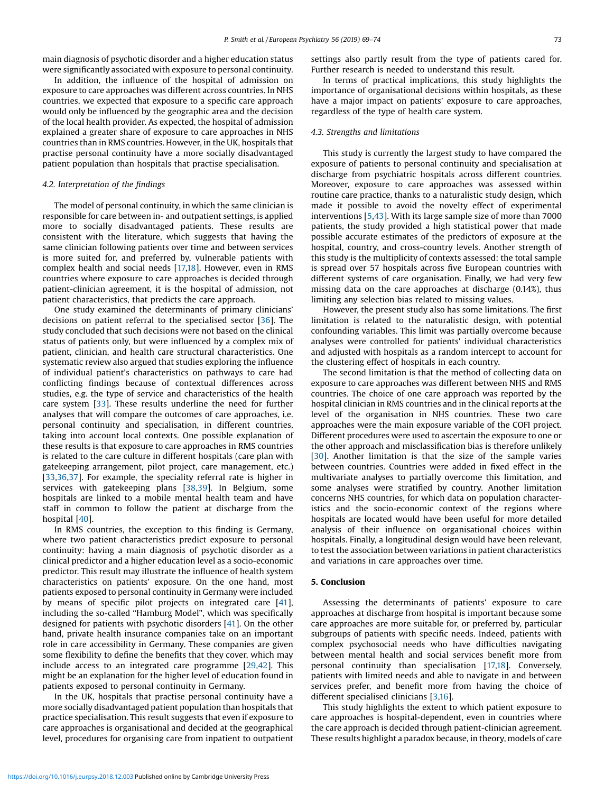main diagnosis of psychotic disorder and a higher education status were significantly associated with exposure to personal continuity.

In addition, the influence of the hospital of admission on exposure to care approaches was different across countries. In NHS countries, we expected that exposure to a specific care approach would only be influenced by the geographic area and the decision of the local health provider. As expected, the hospital of admission explained a greater share of exposure to care approaches in NHS countries than in RMS countries. However, in the UK, hospitals that practise personal continuity have a more socially disadvantaged patient population than hospitals that practise specialisation.

# 4.2. Interpretation of the findings

The model of personal continuity, in which the same clinician is responsible for care between in- and outpatient settings, is applied more to socially disadvantaged patients. These results are consistent with the literature, which suggests that having the same clinician following patients over time and between services is more suited for, and preferred by, vulnerable patients with complex health and social needs [\[17,18](#page-5-0)]. However, even in RMS countries where exposure to care approaches is decided through patient-clinician agreement, it is the hospital of admission, not patient characteristics, that predicts the care approach.

One study examined the determinants of primary clinicians' decisions on patient referral to the specialised sector [\[36\]](#page-5-0). The study concluded that such decisions were not based on the clinical status of patients only, but were influenced by a complex mix of patient, clinician, and health care structural characteristics. One systematic review also argued that studies exploring the influence of individual patient's characteristics on pathways to care had conflicting findings because of contextual differences across studies, e.g. the type of service and characteristics of the health care system [[33](#page-5-0)]. These results underline the need for further analyses that will compare the outcomes of care approaches, i.e. personal continuity and specialisation, in different countries, taking into account local contexts. One possible explanation of these results is that exposure to care approaches in RMS countries is related to the care culture in different hospitals (care plan with gatekeeping arrangement, pilot project, care management, etc.) [[33,36,37](#page-5-0)]. For example, the speciality referral rate is higher in services with gatekeeping plans [\[38,39\]](#page-5-0). In Belgium, some hospitals are linked to a mobile mental health team and have staff in common to follow the patient at discharge from the hospital [\[40\]](#page-5-0).

In RMS countries, the exception to this finding is Germany, where two patient characteristics predict exposure to personal continuity: having a main diagnosis of psychotic disorder as a clinical predictor and a higher education level as a socio-economic predictor. This result may illustrate the influence of health system characteristics on patients' exposure. On the one hand, most patients exposed to personal continuity in Germany were included by means of specific pilot projects on integrated care [\[41](#page-5-0)], including the so-called "Hamburg Model", which was specifically designed for patients with psychotic disorders [\[41](#page-5-0)]. On the other hand, private health insurance companies take on an important role in care accessibility in Germany. These companies are given some flexibility to define the benefits that they cover, which may include access to an integrated care programme [[29,42](#page-5-0)]. This might be an explanation for the higher level of education found in patients exposed to personal continuity in Germany.

In the UK, hospitals that practise personal continuity have a more socially disadvantaged patient population than hospitals that practice specialisation. This result suggests that even if exposure to care approaches is organisational and decided at the geographical level, procedures for organising care from inpatient to outpatient settings also partly result from the type of patients cared for. Further research is needed to understand this result.

In terms of practical implications, this study highlights the importance of organisational decisions within hospitals, as these have a major impact on patients' exposure to care approaches, regardless of the type of health care system.

# 4.3. Strengths and limitations

This study is currently the largest study to have compared the exposure of patients to personal continuity and specialisation at discharge from psychiatric hospitals across different countries. Moreover, exposure to care approaches was assessed within routine care practice, thanks to a naturalistic study design, which made it possible to avoid the novelty effect of experimental interventions [[5](#page-5-0),[43](#page-5-0)]. With its large sample size of more than 7000 patients, the study provided a high statistical power that made possible accurate estimates of the predictors of exposure at the hospital, country, and cross-country levels. Another strength of this study is the multiplicity of contexts assessed: the total sample is spread over 57 hospitals across five European countries with different systems of care organisation. Finally, we had very few missing data on the care approaches at discharge (0.14%), thus limiting any selection bias related to missing values.

However, the present study also has some limitations. The first limitation is related to the naturalistic design, with potential confounding variables. This limit was partially overcome because analyses were controlled for patients' individual characteristics and adjusted with hospitals as a random intercept to account for the clustering effect of hospitals in each country.

The second limitation is that the method of collecting data on exposure to care approaches was different between NHS and RMS countries. The choice of one care approach was reported by the hospital clinician in RMS countries and in the clinical reports at the level of the organisation in NHS countries. These two care approaches were the main exposure variable of the COFI project. Different procedures were used to ascertain the exposure to one or the other approach and misclassification bias is therefore unlikely [\[30](#page-5-0)]. Another limitation is that the size of the sample varies between countries. Countries were added in fixed effect in the multivariate analyses to partially overcome this limitation, and some analyses were stratified by country. Another limitation concerns NHS countries, for which data on population characteristics and the socio-economic context of the regions where hospitals are located would have been useful for more detailed analysis of their influence on organisational choices within hospitals. Finally, a longitudinal design would have been relevant, to test the association between variations in patient characteristics and variations in care approaches over time.

# 5. Conclusion

Assessing the determinants of patients' exposure to care approaches at discharge from hospital is important because some care approaches are more suitable for, or preferred by, particular subgroups of patients with specific needs. Indeed, patients with complex psychosocial needs who have difficulties navigating between mental health and social services benefit more from personal continuity than specialisation [\[17,18](#page-5-0)]. Conversely, patients with limited needs and able to navigate in and between services prefer, and benefit more from having the choice of different specialised clinicians [[3](#page-5-0),[16](#page-5-0)].

This study highlights the extent to which patient exposure to care approaches is hospital-dependent, even in countries where the care approach is decided through patient-clinician agreement. These results highlight a paradox because, in theory, models of care